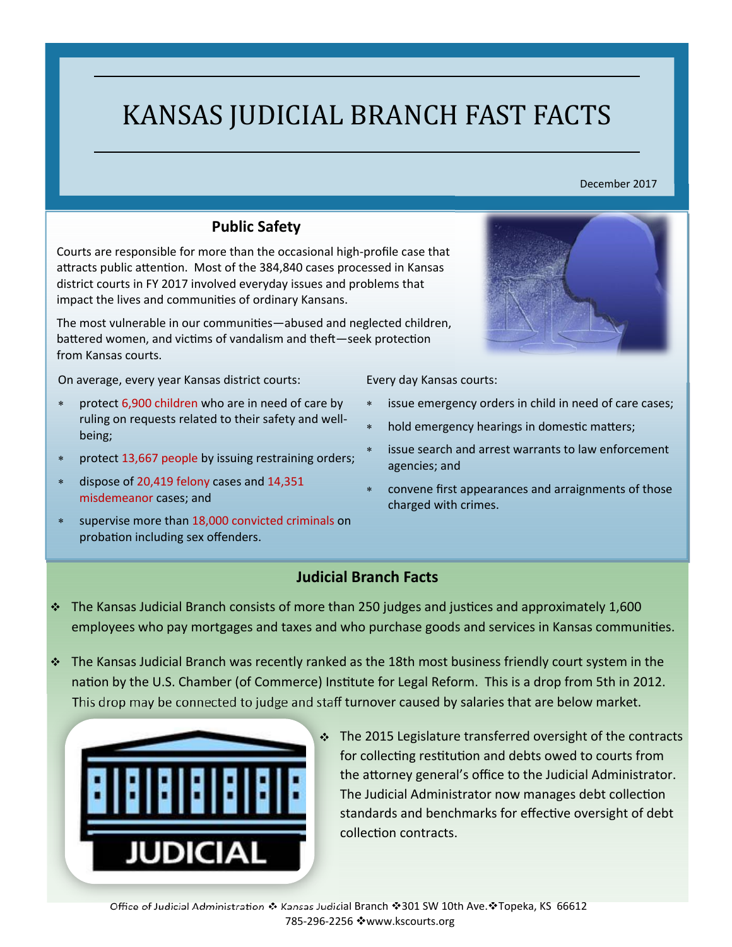# KANSAS JUDICIAL BRANCH FAST FACTS

#### December 2017

#### **Public Safety**

Courts are responsible for more than the occasional high‐profile case that attracts public attention. Most of the 384,840 cases processed in Kansas district courts in FY 2017 involved everyday issues and problems that impact the lives and communities of ordinary Kansans.

The most vulnerable in our communities—abused and neglected children, battered women, and victims of vandalism and theft-seek protection from Kansas courts.

On average, every year Kansas district courts:

- protect 6,900 children who are in need of care by ruling on requests related to their safety and well‐ being;
- protect 13,667 people by issuing restraining orders;
- dispose of 20,419 felony cases and 14,351 misdemeanor cases; and
- supervise more than 18,000 convicted criminals on probation including sex offenders.



Every day Kansas courts:

- issue emergency orders in child in need of care cases;
- hold emergency hearings in domestic matters;
- issue search and arrest warrants to law enforcement agencies; and
- convene first appearances and arraignments of those charged with crimes.

#### **Judicial Branch Facts**

- $\cdot$  The Kansas Judicial Branch consists of more than 250 judges and justices and approximately 1,600 employees who pay mortgages and taxes and who purchase goods and services in Kansas communities.
- The Kansas Judicial Branch was recently ranked as the 18th most business friendly court system in the nation by the U.S. Chamber (of Commerce) Institute for Legal Reform. This is a drop from 5th in 2012. This drop may be connected to judge and staff turnover caused by salaries that are below market.



 $\cdot$  The 2015 Legislature transferred oversight of the contracts for collecting restitution and debts owed to courts from the attorney general's office to the Judicial Administrator. The Judicial Administrator now manages debt collection standards and benchmarks for effective oversight of debt collection contracts.